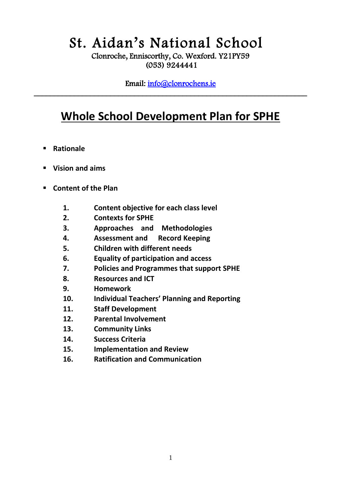# St. Aidan's National School

Clonroche, Enniscorthy, Co. Wexford. Y21PY59 (053) 9244441

Email: [info@clonrochens.ie](mailto:info@clonrochens.ie)  \_\_\_\_\_\_\_\_\_\_\_\_\_\_\_\_\_\_\_\_\_\_\_\_\_\_\_\_\_\_\_\_\_\_\_\_\_\_\_\_\_\_\_\_\_\_\_\_\_\_\_\_\_\_\_\_\_\_\_\_\_\_\_\_\_\_\_\_

# **Whole School Development Plan for SPHE**

- **Rationale**
- **Vision and aims**
- **Content of the Plan** 
	- **1. Content objective for each class level**
	- **2. Contexts for SPHE**
	- **3. Approaches and Methodologies**
	- **4. Assessment and Record Keeping**
	- **5. Children with different needs**
	- **6. Equality of participation and access**
	- **7. Policies and Programmes that support SPHE**
	- **8. Resources and ICT**
	- **9. Homework**
	- **10. Individual Teachers' Planning and Reporting**
	- **11. Staff Development**
	- **12. Parental Involvement**
	- **13. Community Links**
	- **14. Success Criteria**
	- **15. Implementation and Review**
	- **16. Ratification and Communication**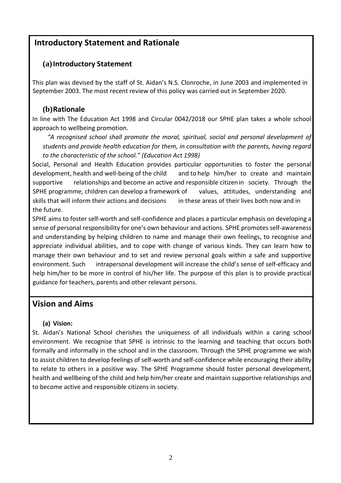# **Introductory Statement and Rationale**

#### **(a)Introductory Statement**

This plan was devised by the staff of St. Aidan's N.S. Clonroche, in June 2003 and implemented in September 2003. The most recent review of this policy was carried out in September 2020.

### **(b)Rationale**

In line with The Education Act 1998 and Circular 0042/2018 our SPHE plan takes a whole school approach to wellbeing promotion.

 *"A recognised school shall promote the moral, spiritual, social and personal development of students and provide health education for them, in consultation with the parents, having regard to the characteristic of the school." (Education Act 1998)*

Social, Personal and Health Education provides particular opportunities to foster the personal development, health and well‐being of the child and to help him/her to create and maintain supportive relationships and become an active and responsible citizenin society. Through the SPHE programme, children can develop a framework of values, attitudes, understanding and skills that will inform their actions and decisions in these areas of their lives both now and in the future.

SPHE aims to foster self-worth and self-confidence and places a particular emphasis on developing a sense of personal responsibility for one's own behaviour and actions. SPHE promotes self‐awareness and understanding by helping children to name and manage their own feelings, to recognise and appreciate individual abilities, and to cope with change of various kinds. They can learn how to manage their own behaviour and to set and review personal goals within a safe and supportive environment. Such intrapersonal development will increase the child's sense of self-efficacy and help him/her to be more in control of his/her life. The purpose of this plan is to provide practical guidance for teachers, parents and other relevant persons.

# **Vision and Aims**

#### **(a) Vision:**

St. Aidan's National School cherishes the uniqueness of all individuals within a caring school environment. We recognise that SPHE is intrinsic to the learning and teaching that occurs both formally and informally in the school and in the classroom. Through the SPHE programme we wish to assist children to develop feelings of self‐worth and self‐confidence while encouraging their ability to relate to others in a positive way. The SPHE Programme should foster personal development, health and wellbeing of the child and help him/her create and maintain supportive relationships and to become active and responsible citizens in society.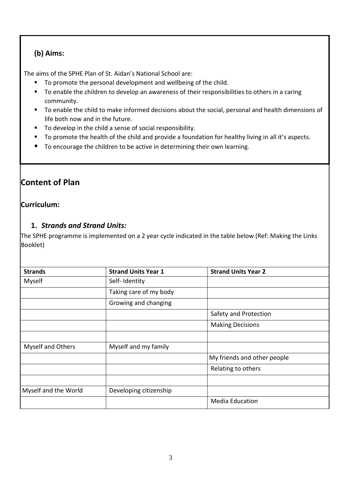#### **(b) Aims:**

The aims of the SPHE Plan of St. Aidan's National School are:

- To promote the personal development and wellbeing of the child.
- To enable the children to develop an awareness of their responsibilities to others in a caring community.
- To enable the child to make informed decisions about the social, personal and health dimensions of life both now and in the future.
- To develop in the child a sense of social responsibility.
- To promote the health of the child and provide a foundation for healthy living in all it's aspects.
- To encourage the children to be active in determining their own learning.

# **Content of Plan**

#### **Curriculum:**

### **1.** *Strands and Strand Units:*

The SPHE programme is implemented on a 2 year cycle indicated in the table below (Ref: Making the Links Booklet)

| <b>Strands</b>       | <b>Strand Units Year 1</b> | <b>Strand Units Year 2</b>  |
|----------------------|----------------------------|-----------------------------|
| Myself               | Self-Identity              |                             |
|                      | Taking care of my body     |                             |
|                      | Growing and changing       |                             |
|                      |                            | Safety and Protection       |
|                      |                            | <b>Making Decisions</b>     |
|                      |                            |                             |
| Myself and Others    | Myself and my family       |                             |
|                      |                            | My friends and other people |
|                      |                            | Relating to others          |
|                      |                            |                             |
| Myself and the World | Developing citizenship     |                             |
|                      |                            | <b>Media Education</b>      |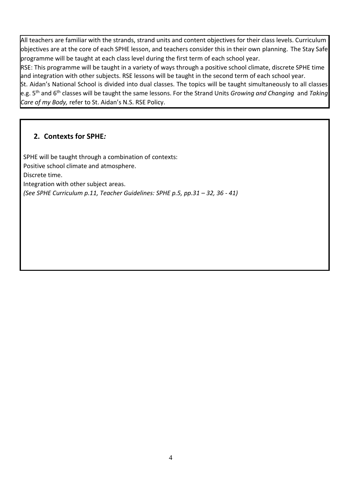All teachers are familiar with the strands, strand units and content objectives for their class levels. Curriculum objectives are at the core of each SPHE lesson, and teachers consider this in their own planning. The Stay Safe programme will be taught at each class level during the first term of each school year.

RSE: This programme will be taught in a variety of ways through a positive school climate, discrete SPHE time and integration with other subjects. RSE lessons will be taught in the second term of each school year.

St. Aidan's National School is divided into dual classes. The topics will be taught simultaneously to all classes e.g. 5th and 6th classes will be taught the same lessons. For the Strand Units *Growing and Changing* and *Taking Care of my Body,* refer to St. Aidan's N.S. RSE Policy.

### **2. Contexts for SPHE***:*

SPHE will be taught through a combination of contexts: Positive school climate and atmosphere. Discrete time. Integration with other subject areas. *(See SPHE Curriculum p.11, Teacher Guidelines: SPHE p.5, pp.31 – 32, 36 - 41)*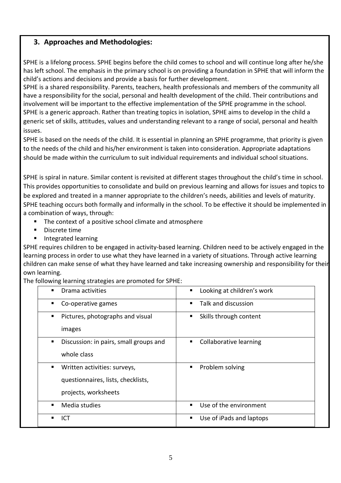### **3. Approaches and Methodologies:**

SPHE is a lifelong process. SPHE begins before the child comes to school and will continue long after he/she has left school. The emphasis in the primary school is on providing a foundation in SPHE that will inform the child's actions and decisions and provide a basis for further development.

SPHE is a shared responsibility. Parents, teachers, health professionals and members of the community all have a responsibility for the social, personal and health development of the child. Their contributions and involvement will be important to the effective implementation of the SPHE programme in the school. SPHE is a generic approach. Rather than treating topics in isolation, SPHE aims to develop in the child a generic set of skills, attitudes, values and understanding relevant to a range of social, personal and health issues.

SPHE is based on the needs of the child. It is essential in planning an SPHE programme, that priority is given to the needs of the child and his/her environment is taken into consideration. Appropriate adaptations should be made within the curriculum to suit individual requirements and individual school situations.

SPHE is spiral in nature. Similar content is revisited at different stages throughout the child's time in school. This provides opportunities to consolidate and build on previous learning and allows for issues and topics to be explored and treated in a manner appropriate to the children's needs, abilities and levels of maturity. SPHE teaching occurs both formally and informally in the school. To be effective it should be implemented in a combination of ways, through:

- The context of a positive school climate and atmosphere
- **Discrete time**
- **Integrated learning**

SPHE requires children to be engaged in activity-based learning. Children need to be actively engaged in the learning process in order to use what they have learned in a variety of situations. Through active learning children can make sense of what they have learned and take increasing ownership and responsibility for their own learning.

#### The following learning strategies are promoted for SPHE:

| Drama activities                            | Looking at children's work    |
|---------------------------------------------|-------------------------------|
| Co-operative games                          | Talk and discussion           |
| Pictures, photographs and visual<br>٠       | Skills through content<br>п   |
| images                                      |                               |
| Discussion: in pairs, small groups and<br>٠ | Collaborative learning        |
| whole class                                 |                               |
| Written activities: surveys,                | Problem solving<br>٠          |
| questionnaires, lists, checklists,          |                               |
| projects, worksheets                        |                               |
| Media studies                               | Use of the environment        |
| ICT                                         | Use of iPads and laptops<br>п |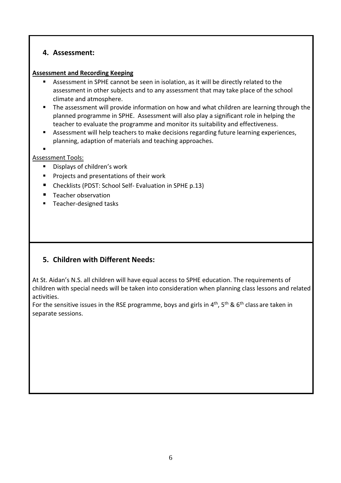#### **4. Assessment:**

#### **Assessment and Recording Keeping**

- Assessment in SPHE cannot be seen in isolation, as it will be directly related to the assessment in other subjects and to any assessment that may take place of the school climate and atmosphere.
- **The assessment will provide information on how and what children are learning through the** planned programme in SPHE. Assessment will also play a significant role in helping the teacher to evaluate the programme and monitor its suitability and effectiveness.
- Assessment will help teachers to make decisions regarding future learning experiences, planning, adaption of materials and teaching approaches.
- .

#### Assessment Tools:

- **Displays of children's work**
- **Projects and presentations of their work**
- Checklists (PDST: School Self- Evaluation in SPHE p.13)
- **Teacher observation**
- Teacher-designed tasks

# **5. Children with Different Needs:**

At St. Aidan's N.S. all children will have equal access to SPHE education. The requirements of children with special needs will be taken into consideration when planning class lessons and related activities.

For the sensitive issues in the RSE programme, boys and girls in  $4^{\text{th}}$ , 5<sup>th</sup> & 6<sup>th</sup> class are taken in separate sessions.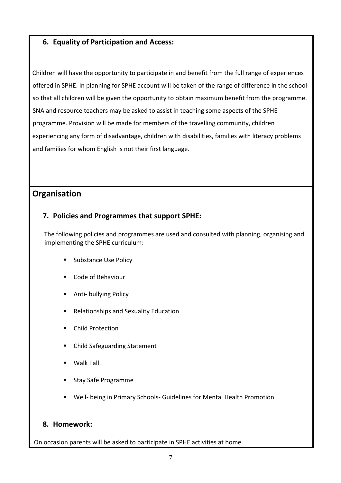#### **6. Equality of Participation and Access:**

Children will have the opportunity to participate in and benefit from the full range of experiences offered in SPHE. In planning for SPHE account will be taken of the range of difference in the school so that all children will be given the opportunity to obtain maximum benefit from the programme. SNA and resource teachers may be asked to assist in teaching some aspects of the SPHE programme. Provision will be made for members of the travelling community, children experiencing any form of disadvantage, children with disabilities, families with literacy problems and families for whom English is not their first language.

# **Organisation**

#### **7. Policies and Programmes that support SPHE:**

The following policies and programmes are used and consulted with planning, organising and implementing the SPHE curriculum:

- **Substance Use Policy**
- Code of Behaviour
- **Anti- bullying Policy**
- Relationships and Sexuality Education
- **E** Child Protection
- Child Safeguarding Statement
- Walk Tall
- **Stay Safe Programme**
- Well- being in Primary Schools- Guidelines for Mental Health Promotion

#### **8. Homework:**

On occasion parents will be asked to participate in SPHE activities at home.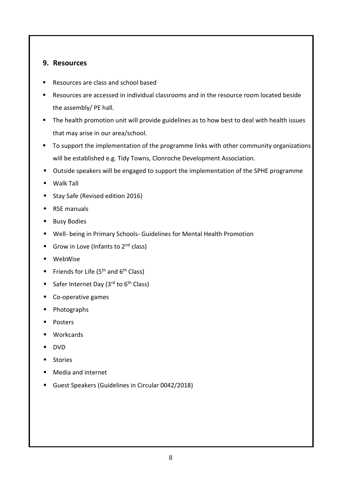#### **9. Resources**

- Resources are class and school based
- Resources are accessed in individual classrooms and in the resource room located beside the assembly/ PE hall.
- **The health promotion unit will provide guidelines as to how best to deal with health issues** that may arise in our area/school.
- To support the implementation of the programme links with other community organizations will be established e.g. Tidy Towns, Clonroche Development Association.
- Outside speakers will be engaged to support the implementation of the SPHE programme
- Walk Tall
- Stay Safe (Revised edition 2016)
- **RSE manuals**
- **Busy Bodies**
- Well- being in Primary Schools- Guidelines for Mental Health Promotion
- Grow in Love (Infants to  $2^{nd}$  class)
- WebWise
- Friends for Life ( $5<sup>th</sup>$  and  $6<sup>th</sup>$  Class)
- Safer Internet Day (3<sup>rd</sup> to 6<sup>th</sup> Class)
- Co-operative games
- Photographs
- **Posters**
- **U** Workcards
- DVD
- **Stories**
- Media and internet
- Guest Speakers (Guidelines in Circular 0042/2018)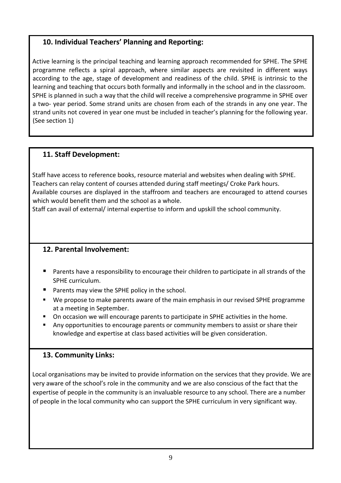# **10. Individual Teachers' Planning and Reporting:**

Active learning is the principal teaching and learning approach recommended for SPHE. The SPHE programme reflects a spiral approach, where similar aspects are revisited in different ways according to the age, stage of development and readiness of the child. SPHE is intrinsic to the learning and teaching that occurs both formally and informally in the school and in the classroom. SPHE is planned in such a way that the child will receive a comprehensive programme in SPHE over a two- year period. Some strand units are chosen from each of the strands in any one year. The strand units not covered in year one must be included in teacher's planning for the following year. (See section 1)

# **11. Staff Development:**

Staff have access to reference books, resource material and websites when dealing with SPHE. Teachers can relay content of courses attended during staff meetings/ Croke Park hours. Available courses are displayed in the staffroom and teachers are encouraged to attend courses which would benefit them and the school as a whole.

Staff can avail of external/ internal expertise to inform and upskill the school community.

# **12. Parental Involvement:**

- **Parents have a responsibility to encourage their children to participate in all strands of the** SPHE curriculum.
- **Parents may view the SPHE policy in the school.**
- We propose to make parents aware of the main emphasis in our revised SPHE programme at a meeting in September.
- On occasion we will encourage parents to participate in SPHE activities in the home.
- Any opportunities to encourage parents or community members to assist or share their knowledge and expertise at class based activities will be given consideration.

# **13. Community Links:**

Local organisations may be invited to provide information on the services that they provide. We are very aware of the school's role in the community and we are also conscious of the fact that the expertise of people in the community is an invaluable resource to any school. There are a number of people in the local community who can support the SPHE curriculum in very significant way.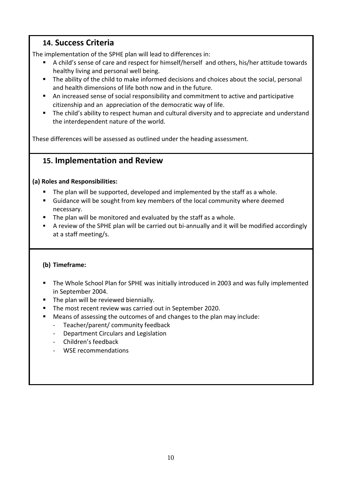# **14. Success Criteria**

The implementation of the SPHE plan will lead to differences in:

- A child's sense of care and respect for himself/herself and others, his/her attitude towards healthy living and personal well being.
- The ability of the child to make informed decisions and choices about the social, personal and health dimensions of life both now and in the future.
- An increased sense of social responsibility and commitment to active and participative citizenship and an appreciation of the democratic way of life.
- **The child's ability to respect human and cultural diversity and to appreciate and understand** the interdependent nature of the world.

These differences will be assessed as outlined under the heading assessment.

# **15. Implementation and Review**

#### **(a) Roles and Responsibilities:**

- The plan will be supported, developed and implemented by the staff as a whole.
- Guidance will be sought from key members of the local community where deemed necessary.
- $\blacksquare$  The plan will be monitored and evaluated by the staff as a whole.
- A review of the SPHE plan will be carried out bi-annually and it will be modified accordingly at a staff meeting/s.

#### **(b) Timeframe:**

- The Whole School Plan for SPHE was initially introduced in 2003 and was fully implemented in September 2004.
- The plan will be reviewed biennially.
- **The most recent review was carried out in September 2020.**
- Means of assessing the outcomes of and changes to the plan may include:
	- Teacher/parent/ community feedback
	- Department Circulars and Legislation
	- Children's feedback
	- WSE recommendations